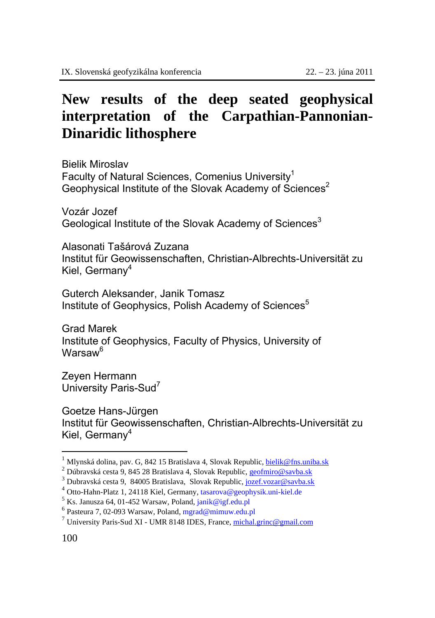## **New results of the deep seated geophysical interpretation of the Carpathian-Pannonian-Dinaridic lithosphere**

Bielik Miroslav Faculty of Natural Sciences, Comenius University<sup>1</sup> Geophysical Institute of the Slovak Academy of Sciences<sup>2</sup>

Vozár Jozef Geological Institute of the Slovak Academy of Sciences<sup>3</sup>

Alasonati Tašárová Zuzana Institut für Geowissenschaften, Christian-Albrechts-Universität zu Kiel, German $v^4$ 

Guterch Aleksander, Janik Tomasz Institute of Geophysics, Polish Academy of Sciences<sup>5</sup>

Grad Marek Institute of Geophysics, Faculty of Physics, University of Warsaw6

Zeyen Hermann University Paris-Sud<sup>7</sup>

Goetze Hans-Jürgen Institut für Geowissenschaften, Christian-Albrechts-Universität zu Kiel, Germany<sup>4</sup>

 $\overline{a}$ 

<sup>&</sup>lt;sup>1</sup> Mlynská dolina, pav. G, 842 15 Bratislava 4, Slovak Republic, <u>bielik@fns.uniba.sk</u> <sup>2</sup> Dúbravská cesta 9, 845 28 Bratislava 4, Slovak Republic, geofmiro@savba.sk

<sup>&</sup>lt;sup>3</sup> Dubravská cesta 9, 84005 Bratislava, Slovak Republic, jozef.vozar@savba.sk

<sup>&</sup>lt;sup>4</sup> Otto-Hahn-Platz 1, 24118 Kiel, Germany, tasarova@geophysik.uni-kiel.de <sup>5</sup> Ks. Janusza 64, 01-452 Warsaw, Poland, janik@igf.edu.pl

<sup>6</sup> Pasteura 7, 02-093 Warsaw, Poland, mgrad@mimuw.edu.pl

 $7$  University Paris-Sud XI - UMR 8148 IDES, France, michal.grinc@gmail.com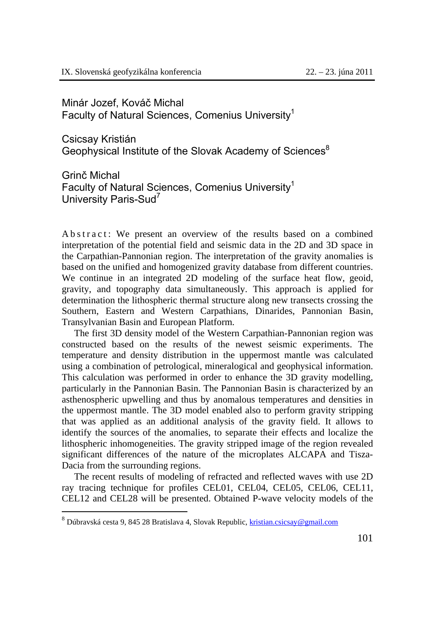Minár Jozef, Kováč Michal Faculty of Natural Sciences, Comenius University1

Csicsay Kristián Geophysical Institute of the Slovak Academy of Sciences<sup>8</sup>

Grinč Michal Faculty of Natural Sciences, Comenius University<sup>1</sup> University Paris-Sud7

A b s t r a c t: We present an overview of the results based on a combined interpretation of the potential field and seismic data in the 2D and 3D space in the Carpathian-Pannonian region. The interpretation of the gravity anomalies is based on the unified and homogenized gravity database from different countries. We continue in an integrated 2D modeling of the surface heat flow, geoid, gravity, and topography data simultaneously. This approach is applied for determination the lithospheric thermal structure along new transects crossing the Southern, Eastern and Western Carpathians, Dinarides, Pannonian Basin, Transylvanian Basin and European Platform.

The first 3D density model of the Western Carpathian-Pannonian region was constructed based on the results of the newest seismic experiments. The temperature and density distribution in the uppermost mantle was calculated using a combination of petrological, mineralogical and geophysical information. This calculation was performed in order to enhance the 3D gravity modelling, particularly in the Pannonian Basin. The Pannonian Basin is characterized by an asthenospheric upwelling and thus by anomalous temperatures and densities in the uppermost mantle. The 3D model enabled also to perform gravity stripping that was applied as an additional analysis of the gravity field. It allows to identify the sources of the anomalies, to separate their effects and localize the lithospheric inhomogeneities. The gravity stripped image of the region revealed significant differences of the nature of the microplates ALCAPA and Tisza-Dacia from the surrounding regions.

The recent results of modeling of refracted and reflected waves with use 2D ray tracing technique for profiles CEL01, CEL04, CEL05, CEL06, CEL11, CEL12 and CEL28 will be presented. Obtained P-wave velocity models of the

 $\overline{a}$ 

<sup>&</sup>lt;sup>8</sup> Dúbravská cesta 9, 845 28 Bratislava 4, Slovak Republic, kristian.csicsay@gmail.com